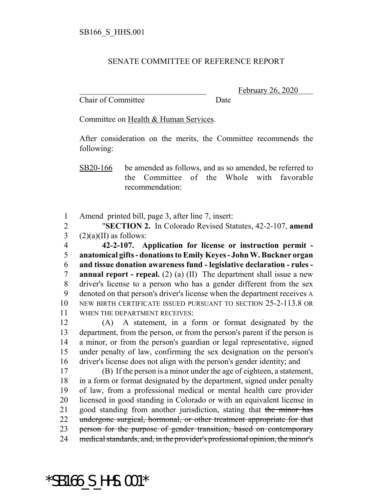## SENATE COMMITTEE OF REFERENCE REPORT

Chair of Committee Date

February 26, 2020

Committee on Health & Human Services.

After consideration on the merits, the Committee recommends the following:

SB20-166 be amended as follows, and as so amended, be referred to the Committee of the Whole with favorable recommendation:

1 Amend printed bill, page 3, after line 7, insert:

2 "**SECTION 2.** In Colorado Revised Statutes, 42-2-107, **amend** 3  $(2)(a)(II)$  as follows:

 **42-2-107. Application for license or instruction permit - anatomical gifts - donations to Emily Keyes - John W. Buckner organ and tissue donation awareness fund - legislative declaration - rules - annual report - repeal.** (2) (a) (II) The department shall issue a new driver's license to a person who has a gender different from the sex denoted on that person's driver's license when the department receives A NEW BIRTH CERTIFICATE ISSUED PURSUANT TO SECTION 25-2-113.8 OR WHEN THE DEPARTMENT RECEIVES:

 (A) A statement, in a form or format designated by the department, from the person, or from the person's parent if the person is a minor, or from the person's guardian or legal representative, signed under penalty of law, confirming the sex designation on the person's driver's license does not align with the person's gender identity; and

 (B) If the person is a minor under the age of eighteen, a statement, in a form or format designated by the department, signed under penalty of law, from a professional medical or mental health care provider licensed in good standing in Colorado or with an equivalent license in 21 good standing from another jurisdiction, stating that the minor has undergone surgical, hormonal, or other treatment appropriate for that 23 person for the purpose of gender transition, based on contemporary medical standards, and, in the provider's professional opinion, the minor's

\*SB166\_S\_HHS.001\*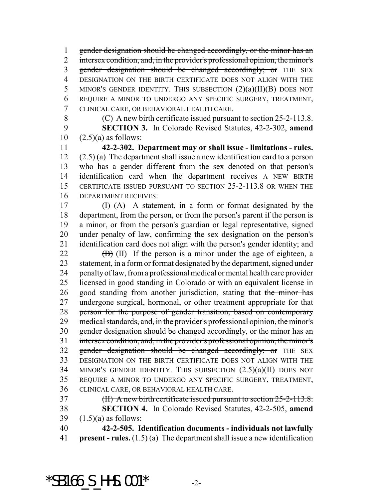1 gender designation should be changed accordingly, or the minor has an 2 intersex condition, and, in the provider's professional opinion, the minor's 3 gender designation should be changed accordingly; or THE SEX DESIGNATION ON THE BIRTH CERTIFICATE DOES NOT ALIGN WITH THE 5 MINOR'S GENDER IDENTITY. THIS SUBSECTION  $(2)(a)(II)(B)$  DOES NOT REQUIRE A MINOR TO UNDERGO ANY SPECIFIC SURGERY, TREATMENT, CLINICAL CARE, OR BEHAVIORAL HEALTH CARE.

 (C) A new birth certificate issued pursuant to section 25-2-113.8. **SECTION 3.** In Colorado Revised Statutes, 42-2-302, **amend**  $10 \quad (2.5)(a)$  as follows:

 **42-2-302. Department may or shall issue - limitations - rules.** (2.5) (a) The department shall issue a new identification card to a person who has a gender different from the sex denoted on that person's identification card when the department receives A NEW BIRTH CERTIFICATE ISSUED PURSUANT TO SECTION 25-2-113.8 OR WHEN THE DEPARTMENT RECEIVES:

17 (I)  $(A)$  A statement, in a form or format designated by the department, from the person, or from the person's parent if the person is a minor, or from the person's guardian or legal representative, signed under penalty of law, confirming the sex designation on the person's identification card does not align with the person's gender identity; and

 (B) (II) If the person is a minor under the age of eighteen, a statement, in a form or format designated by the department, signed under penalty of law, from a professional medical or mental health care provider licensed in good standing in Colorado or with an equivalent license in 26 good standing from another jurisdiction, stating that the minor has 27 undergone surgical, hormonal, or other treatment appropriate for that person for the purpose of gender transition, based on contemporary medical standards, and, in the provider's professional opinion, the minor's gender designation should be changed accordingly, or the minor has an intersex condition, and, in the provider's professional opinion, the minor's 32 gender designation should be changed accordingly; or THE SEX DESIGNATION ON THE BIRTH CERTIFICATE DOES NOT ALIGN WITH THE MINOR'S GENDER IDENTITY. THIS SUBSECTION (2.5)(a)(II) DOES NOT REQUIRE A MINOR TO UNDERGO ANY SPECIFIC SURGERY, TREATMENT, CLINICAL CARE, OR BEHAVIORAL HEALTH CARE.

 (II) A new birth certificate issued pursuant to section 25-2-113.8. **SECTION 4.** In Colorado Revised Statutes, 42-2-505, **amend**  $39 \quad (1.5)(a)$  as follows:

 **42-2-505. Identification documents - individuals not lawfully present - rules.** (1.5) (a) The department shall issue a new identification

 $*$ SB166 S HHS.001 $*$  -2-